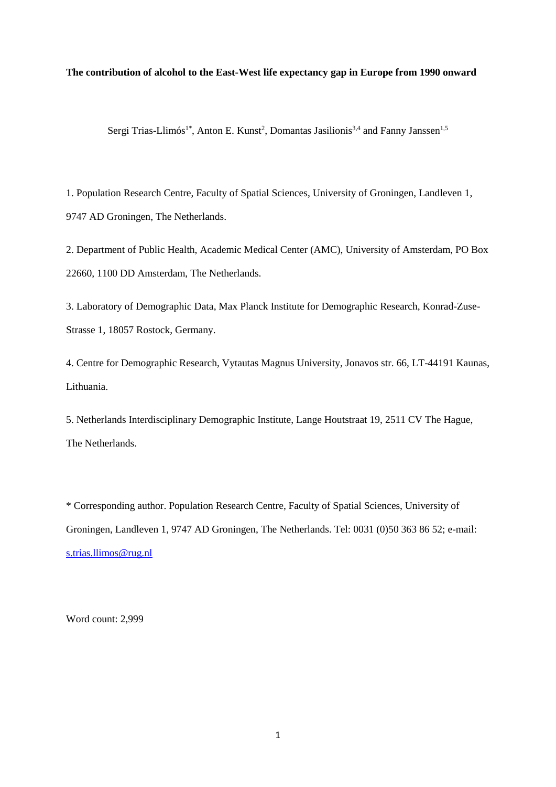## **The contribution of alcohol to the East-West life expectancy gap in Europe from 1990 onward**

Sergi Trias-Llimós<sup>1\*</sup>, Anton E. Kunst<sup>2</sup>, Domantas Jasilionis<sup>3,4</sup> and Fanny Janssen<sup>1,5</sup>

1. Population Research Centre, Faculty of Spatial Sciences, University of Groningen, Landleven 1, 9747 AD Groningen, The Netherlands.

2. Department of Public Health, Academic Medical Center (AMC), University of Amsterdam, PO Box 22660, 1100 DD Amsterdam, The Netherlands.

3. Laboratory of Demographic Data, Max Planck Institute for Demographic Research, Konrad-Zuse-Strasse 1, 18057 Rostock, Germany.

4. Centre for Demographic Research, Vytautas Magnus University, Jonavos str. 66, LT-44191 Kaunas, Lithuania.

5. Netherlands Interdisciplinary Demographic Institute, Lange Houtstraat 19, 2511 CV The Hague, The Netherlands.

\* Corresponding author. Population Research Centre, Faculty of Spatial Sciences, University of Groningen, Landleven 1, 9747 AD Groningen, The Netherlands. Tel: 0031 (0)50 363 86 52; e-mail: [s.trias.llimos@rug.nl](mailto:s.trias.llimos@rug.nl)

Word count: 2,999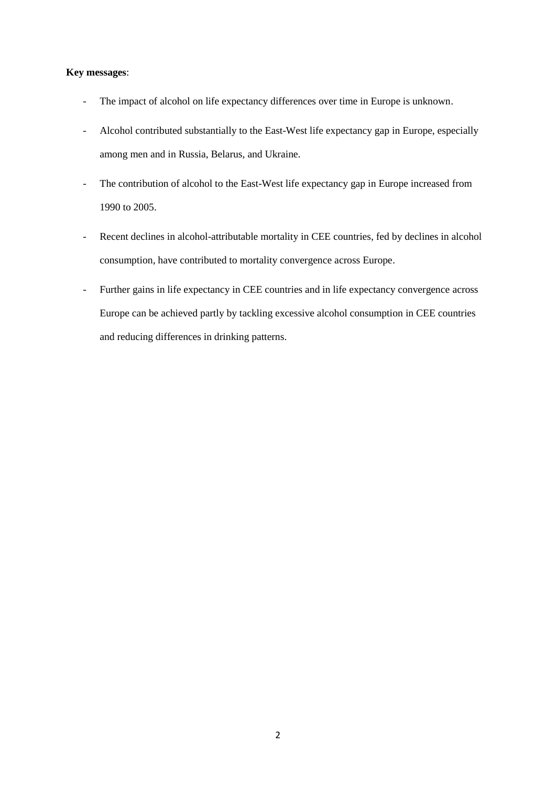# **Key messages**:

- The impact of alcohol on life expectancy differences over time in Europe is unknown.
- Alcohol contributed substantially to the East-West life expectancy gap in Europe, especially among men and in Russia, Belarus, and Ukraine.
- The contribution of alcohol to the East-West life expectancy gap in Europe increased from 1990 to 2005.
- Recent declines in alcohol-attributable mortality in CEE countries, fed by declines in alcohol consumption, have contributed to mortality convergence across Europe.
- Further gains in life expectancy in CEE countries and in life expectancy convergence across Europe can be achieved partly by tackling excessive alcohol consumption in CEE countries and reducing differences in drinking patterns.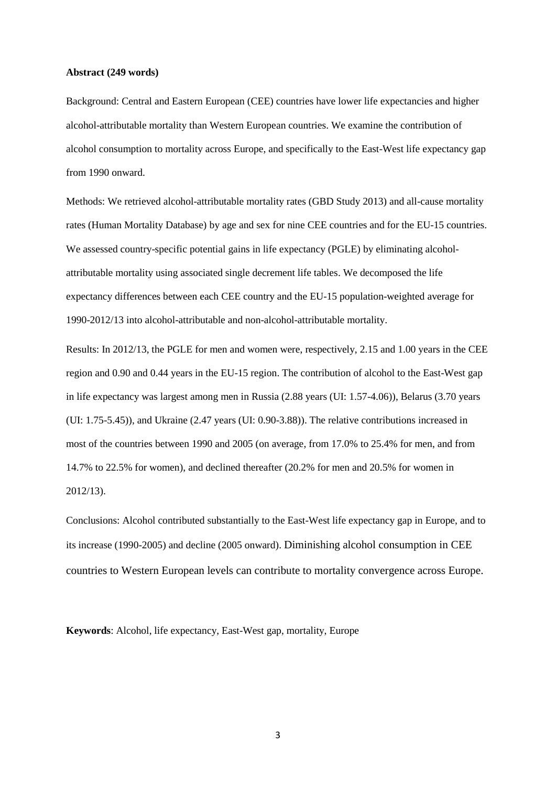### **Abstract (249 words)**

Background: Central and Eastern European (CEE) countries have lower life expectancies and higher alcohol-attributable mortality than Western European countries. We examine the contribution of alcohol consumption to mortality across Europe, and specifically to the East-West life expectancy gap from 1990 onward.

Methods: We retrieved alcohol-attributable mortality rates (GBD Study 2013) and all-cause mortality rates (Human Mortality Database) by age and sex for nine CEE countries and for the EU-15 countries. We assessed country-specific potential gains in life expectancy (PGLE) by eliminating alcoholattributable mortality using associated single decrement life tables. We decomposed the life expectancy differences between each CEE country and the EU-15 population-weighted average for 1990-2012/13 into alcohol-attributable and non-alcohol-attributable mortality.

Results: In 2012/13, the PGLE for men and women were, respectively, 2.15 and 1.00 years in the CEE region and 0.90 and 0.44 years in the EU-15 region. The contribution of alcohol to the East-West gap in life expectancy was largest among men in Russia (2.88 years (UI: 1.57-4.06)), Belarus (3.70 years (UI: 1.75-5.45)), and Ukraine (2.47 years (UI: 0.90-3.88)). The relative contributions increased in most of the countries between 1990 and 2005 (on average, from 17.0% to 25.4% for men, and from 14.7% to 22.5% for women), and declined thereafter (20.2% for men and 20.5% for women in 2012/13).

Conclusions: Alcohol contributed substantially to the East-West life expectancy gap in Europe, and to its increase (1990-2005) and decline (2005 onward). Diminishing alcohol consumption in CEE countries to Western European levels can contribute to mortality convergence across Europe.

**Keywords**: Alcohol, life expectancy, East-West gap, mortality, Europe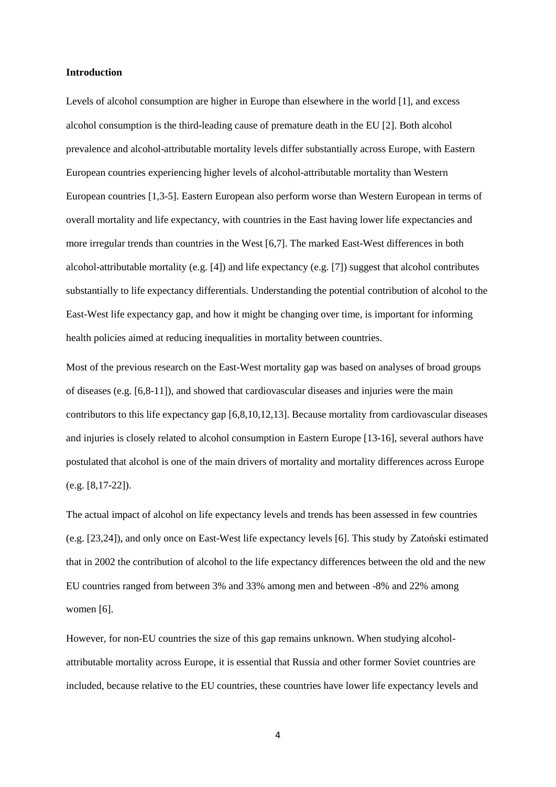# **Introduction**

Levels of alcohol consumption are higher in Europe than elsewhere in the world [1], and excess alcohol consumption is the third-leading cause of premature death in the EU [2]. Both alcohol prevalence and alcohol-attributable mortality levels differ substantially across Europe, with Eastern European countries experiencing higher levels of alcohol-attributable mortality than Western European countries [1,3-5]. Eastern European also perform worse than Western European in terms of overall mortality and life expectancy, with countries in the East having lower life expectancies and more irregular trends than countries in the West [6,7]. The marked East-West differences in both alcohol-attributable mortality (e.g. [4]) and life expectancy (e.g. [7]) suggest that alcohol contributes substantially to life expectancy differentials. Understanding the potential contribution of alcohol to the East-West life expectancy gap, and how it might be changing over time, is important for informing health policies aimed at reducing inequalities in mortality between countries.

Most of the previous research on the East-West mortality gap was based on analyses of broad groups of diseases (e.g. [6,8-11]), and showed that cardiovascular diseases and injuries were the main contributors to this life expectancy gap [6,8,10,12,13]. Because mortality from cardiovascular diseases and injuries is closely related to alcohol consumption in Eastern Europe [13-16], several authors have postulated that alcohol is one of the main drivers of mortality and mortality differences across Europe (e.g. [8,17-22]).

The actual impact of alcohol on life expectancy levels and trends has been assessed in few countries (e.g. [23,24]), and only once on East-West life expectancy levels [6]. This study by Zatoński estimated that in 2002 the contribution of alcohol to the life expectancy differences between the old and the new EU countries ranged from between 3% and 33% among men and between -8% and 22% among women [6].

However, for non-EU countries the size of this gap remains unknown. When studying alcoholattributable mortality across Europe, it is essential that Russia and other former Soviet countries are included, because relative to the EU countries, these countries have lower life expectancy levels and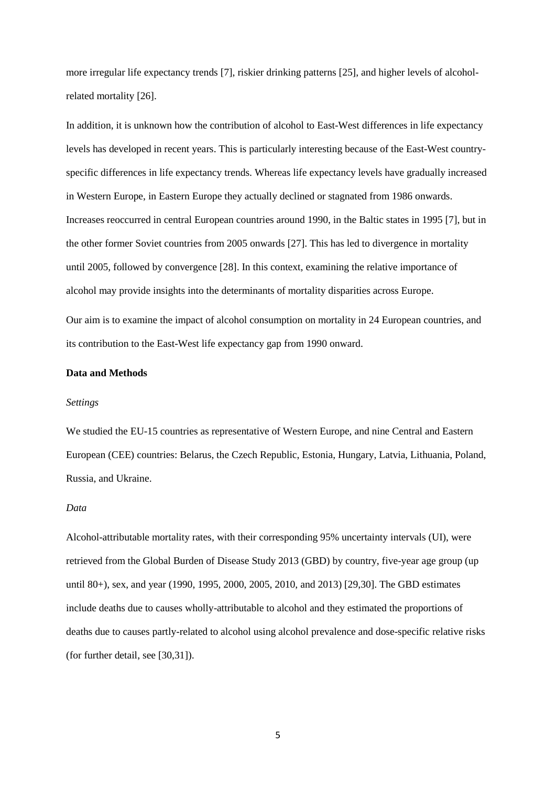more irregular life expectancy trends [7], riskier drinking patterns [25], and higher levels of alcoholrelated mortality [26].

In addition, it is unknown how the contribution of alcohol to East-West differences in life expectancy levels has developed in recent years. This is particularly interesting because of the East-West countryspecific differences in life expectancy trends. Whereas life expectancy levels have gradually increased in Western Europe, in Eastern Europe they actually declined or stagnated from 1986 onwards. Increases reoccurred in central European countries around 1990, in the Baltic states in 1995 [7], but in the other former Soviet countries from 2005 onwards [27]. This has led to divergence in mortality until 2005, followed by convergence [28]. In this context, examining the relative importance of alcohol may provide insights into the determinants of mortality disparities across Europe.

Our aim is to examine the impact of alcohol consumption on mortality in 24 European countries, and its contribution to the East-West life expectancy gap from 1990 onward.

## **Data and Methods**

### *Settings*

We studied the EU-15 countries as representative of Western Europe, and nine Central and Eastern European (CEE) countries: Belarus, the Czech Republic, Estonia, Hungary, Latvia, Lithuania, Poland, Russia, and Ukraine.

#### *Data*

Alcohol-attributable mortality rates, with their corresponding 95% uncertainty intervals (UI), were retrieved from the Global Burden of Disease Study 2013 (GBD) by country, five-year age group (up until 80+), sex, and year (1990, 1995, 2000, 2005, 2010, and 2013) [29,30]. The GBD estimates include deaths due to causes wholly-attributable to alcohol and they estimated the proportions of deaths due to causes partly-related to alcohol using alcohol prevalence and dose-specific relative risks (for further detail, see [30,31]).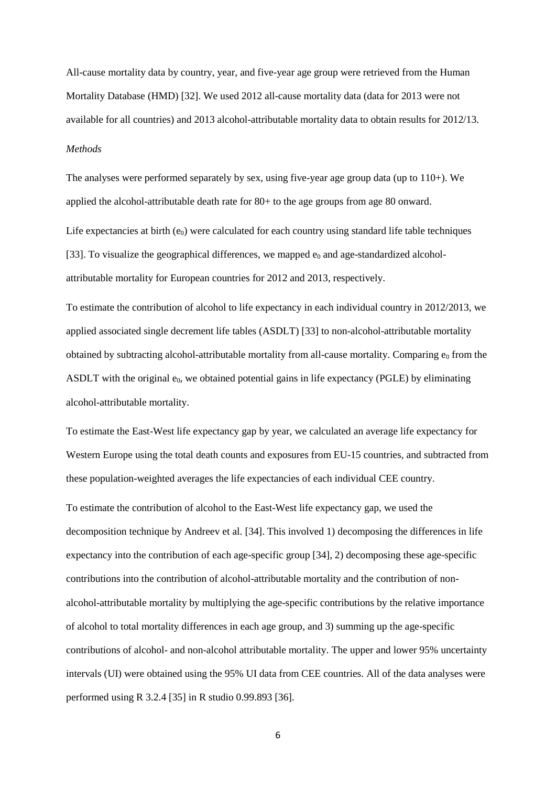All-cause mortality data by country, year, and five-year age group were retrieved from the Human Mortality Database (HMD) [32]. We used 2012 all-cause mortality data (data for 2013 were not available for all countries) and 2013 alcohol-attributable mortality data to obtain results for 2012/13. *Methods* 

The analyses were performed separately by sex, using five-year age group data (up to 110+). We applied the alcohol-attributable death rate for 80+ to the age groups from age 80 onward.

Life expectancies at birth  $(e_0)$  were calculated for each country using standard life table techniques [33]. To visualize the geographical differences, we mapped  $e_0$  and age-standardized alcoholattributable mortality for European countries for 2012 and 2013, respectively.

To estimate the contribution of alcohol to life expectancy in each individual country in 2012/2013, we applied associated single decrement life tables (ASDLT) [33] to non-alcohol-attributable mortality obtained by subtracting alcohol-attributable mortality from all-cause mortality. Comparing  $e_0$  from the ASDLT with the original e<sub>0</sub>, we obtained potential gains in life expectancy (PGLE) by eliminating alcohol-attributable mortality.

To estimate the East-West life expectancy gap by year, we calculated an average life expectancy for Western Europe using the total death counts and exposures from EU-15 countries, and subtracted from these population-weighted averages the life expectancies of each individual CEE country.

To estimate the contribution of alcohol to the East-West life expectancy gap, we used the decomposition technique by Andreev et al. [34]. This involved 1) decomposing the differences in life expectancy into the contribution of each age-specific group [34], 2) decomposing these age-specific contributions into the contribution of alcohol-attributable mortality and the contribution of nonalcohol-attributable mortality by multiplying the age-specific contributions by the relative importance of alcohol to total mortality differences in each age group, and 3) summing up the age-specific contributions of alcohol- and non-alcohol attributable mortality. The upper and lower 95% uncertainty intervals (UI) were obtained using the 95% UI data from CEE countries. All of the data analyses were performed using R 3.2.4 [35] in R studio 0.99.893 [36].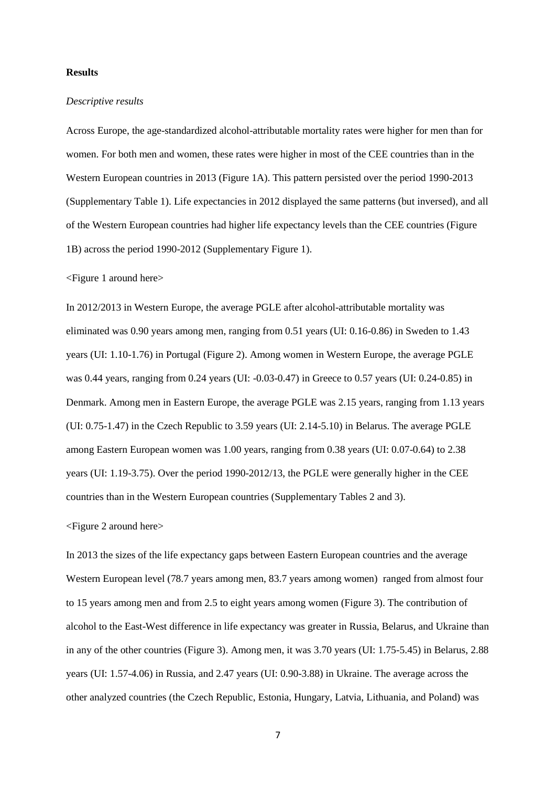# **Results**

### *Descriptive results*

Across Europe, the age-standardized alcohol-attributable mortality rates were higher for men than for women. For both men and women, these rates were higher in most of the CEE countries than in the Western European countries in 2013 (Figure 1A). This pattern persisted over the period 1990-2013 (Supplementary Table 1). Life expectancies in 2012 displayed the same patterns (but inversed), and all of the Western European countries had higher life expectancy levels than the CEE countries (Figure 1B) across the period 1990-2012 (Supplementary Figure 1).

<Figure 1 around here>

In 2012/2013 in Western Europe, the average PGLE after alcohol-attributable mortality was eliminated was 0.90 years among men, ranging from 0.51 years (UI: 0.16-0.86) in Sweden to 1.43 years (UI: 1.10-1.76) in Portugal (Figure 2). Among women in Western Europe, the average PGLE was 0.44 years, ranging from 0.24 years (UI: -0.03-0.47) in Greece to 0.57 years (UI: 0.24-0.85) in Denmark. Among men in Eastern Europe, the average PGLE was 2.15 years, ranging from 1.13 years (UI: 0.75-1.47) in the Czech Republic to 3.59 years (UI: 2.14-5.10) in Belarus. The average PGLE among Eastern European women was 1.00 years, ranging from 0.38 years (UI: 0.07-0.64) to 2.38 years (UI: 1.19-3.75). Over the period 1990-2012/13, the PGLE were generally higher in the CEE countries than in the Western European countries (Supplementary Tables 2 and 3).

<Figure 2 around here>

In 2013 the sizes of the life expectancy gaps between Eastern European countries and the average Western European level (78.7 years among men, 83.7 years among women) ranged from almost four to 15 years among men and from 2.5 to eight years among women (Figure 3). The contribution of alcohol to the East-West difference in life expectancy was greater in Russia, Belarus, and Ukraine than in any of the other countries (Figure 3). Among men, it was 3.70 years (UI: 1.75-5.45) in Belarus, 2.88 years (UI: 1.57-4.06) in Russia, and 2.47 years (UI: 0.90-3.88) in Ukraine. The average across the other analyzed countries (the Czech Republic, Estonia, Hungary, Latvia, Lithuania, and Poland) was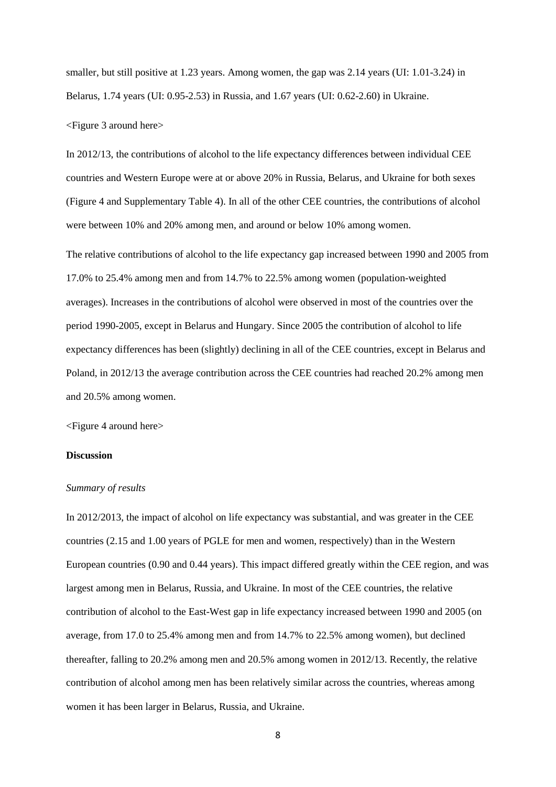smaller, but still positive at 1.23 years. Among women, the gap was 2.14 years (UI: 1.01-3.24) in Belarus, 1.74 years (UI: 0.95-2.53) in Russia, and 1.67 years (UI: 0.62-2.60) in Ukraine.

<Figure 3 around here>

In 2012/13, the contributions of alcohol to the life expectancy differences between individual CEE countries and Western Europe were at or above 20% in Russia, Belarus, and Ukraine for both sexes (Figure 4 and Supplementary Table 4). In all of the other CEE countries, the contributions of alcohol were between 10% and 20% among men, and around or below 10% among women.

The relative contributions of alcohol to the life expectancy gap increased between 1990 and 2005 from 17.0% to 25.4% among men and from 14.7% to 22.5% among women (population-weighted averages). Increases in the contributions of alcohol were observed in most of the countries over the period 1990-2005, except in Belarus and Hungary. Since 2005 the contribution of alcohol to life expectancy differences has been (slightly) declining in all of the CEE countries, except in Belarus and Poland, in 2012/13 the average contribution across the CEE countries had reached 20.2% among men and 20.5% among women.

<Figure 4 around here>

## **Discussion**

## *Summary of results*

In 2012/2013, the impact of alcohol on life expectancy was substantial, and was greater in the CEE countries (2.15 and 1.00 years of PGLE for men and women, respectively) than in the Western European countries (0.90 and 0.44 years). This impact differed greatly within the CEE region, and was largest among men in Belarus, Russia, and Ukraine. In most of the CEE countries, the relative contribution of alcohol to the East-West gap in life expectancy increased between 1990 and 2005 (on average, from 17.0 to 25.4% among men and from 14.7% to 22.5% among women), but declined thereafter, falling to 20.2% among men and 20.5% among women in 2012/13. Recently, the relative contribution of alcohol among men has been relatively similar across the countries, whereas among women it has been larger in Belarus, Russia, and Ukraine.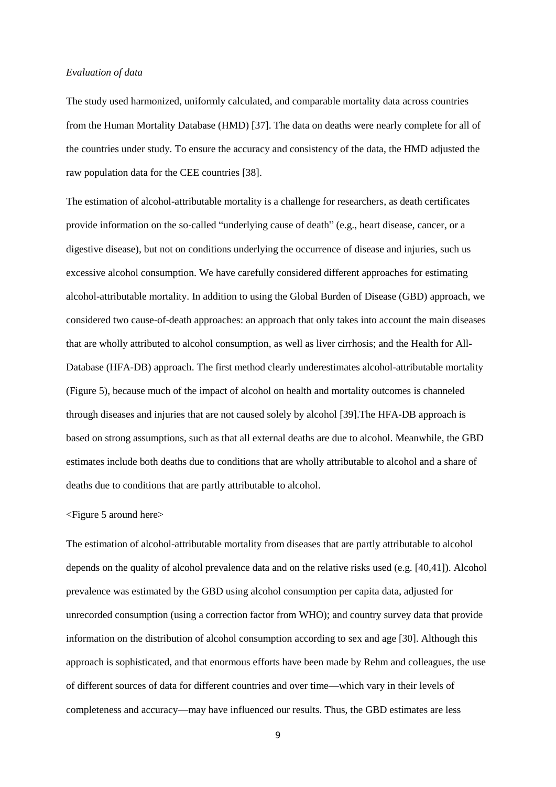# *Evaluation of data*

The study used harmonized, uniformly calculated, and comparable mortality data across countries from the Human Mortality Database (HMD) [37]. The data on deaths were nearly complete for all of the countries under study. To ensure the accuracy and consistency of the data, the HMD adjusted the raw population data for the CEE countries [38].

The estimation of alcohol-attributable mortality is a challenge for researchers, as death certificates provide information on the so-called "underlying cause of death" (e.g., heart disease, cancer, or a digestive disease), but not on conditions underlying the occurrence of disease and injuries, such us excessive alcohol consumption. We have carefully considered different approaches for estimating alcohol-attributable mortality. In addition to using the Global Burden of Disease (GBD) approach, we considered two cause-of-death approaches: an approach that only takes into account the main diseases that are wholly attributed to alcohol consumption, as well as liver cirrhosis; and the Health for All-Database (HFA-DB) approach. The first method clearly underestimates alcohol-attributable mortality (Figure 5), because much of the impact of alcohol on health and mortality outcomes is channeled through diseases and injuries that are not caused solely by alcohol [39].The HFA-DB approach is based on strong assumptions, such as that all external deaths are due to alcohol. Meanwhile, the GBD estimates include both deaths due to conditions that are wholly attributable to alcohol and a share of deaths due to conditions that are partly attributable to alcohol.

## <Figure 5 around here>

The estimation of alcohol-attributable mortality from diseases that are partly attributable to alcohol depends on the quality of alcohol prevalence data and on the relative risks used (e.g. [40,41]). Alcohol prevalence was estimated by the GBD using alcohol consumption per capita data, adjusted for unrecorded consumption (using a correction factor from WHO); and country survey data that provide information on the distribution of alcohol consumption according to sex and age [30]. Although this approach is sophisticated, and that enormous efforts have been made by Rehm and colleagues, the use of different sources of data for different countries and over time—which vary in their levels of completeness and accuracy—may have influenced our results. Thus, the GBD estimates are less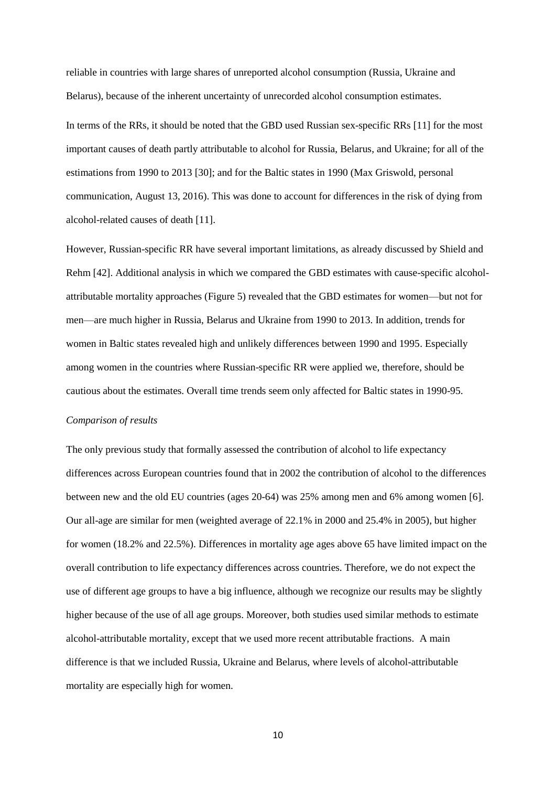reliable in countries with large shares of unreported alcohol consumption (Russia, Ukraine and Belarus), because of the inherent uncertainty of unrecorded alcohol consumption estimates.

In terms of the RRs, it should be noted that the GBD used Russian sex-specific RRs [11] for the most important causes of death partly attributable to alcohol for Russia, Belarus, and Ukraine; for all of the estimations from 1990 to 2013 [30]; and for the Baltic states in 1990 (Max Griswold, personal communication, August 13, 2016). This was done to account for differences in the risk of dying from alcohol-related causes of death [11].

However, Russian-specific RR have several important limitations, as already discussed by Shield and Rehm [42]. Additional analysis in which we compared the GBD estimates with cause-specific alcoholattributable mortality approaches (Figure 5) revealed that the GBD estimates for women—but not for men—are much higher in Russia, Belarus and Ukraine from 1990 to 2013. In addition, trends for women in Baltic states revealed high and unlikely differences between 1990 and 1995. Especially among women in the countries where Russian-specific RR were applied we, therefore, should be cautious about the estimates. Overall time trends seem only affected for Baltic states in 1990-95.

### *Comparison of results*

The only previous study that formally assessed the contribution of alcohol to life expectancy differences across European countries found that in 2002 the contribution of alcohol to the differences between new and the old EU countries (ages 20-64) was 25% among men and 6% among women [6]. Our all-age are similar for men (weighted average of 22.1% in 2000 and 25.4% in 2005), but higher for women (18.2% and 22.5%). Differences in mortality age ages above 65 have limited impact on the overall contribution to life expectancy differences across countries. Therefore, we do not expect the use of different age groups to have a big influence, although we recognize our results may be slightly higher because of the use of all age groups. Moreover, both studies used similar methods to estimate alcohol-attributable mortality, except that we used more recent attributable fractions. A main difference is that we included Russia, Ukraine and Belarus, where levels of alcohol-attributable mortality are especially high for women.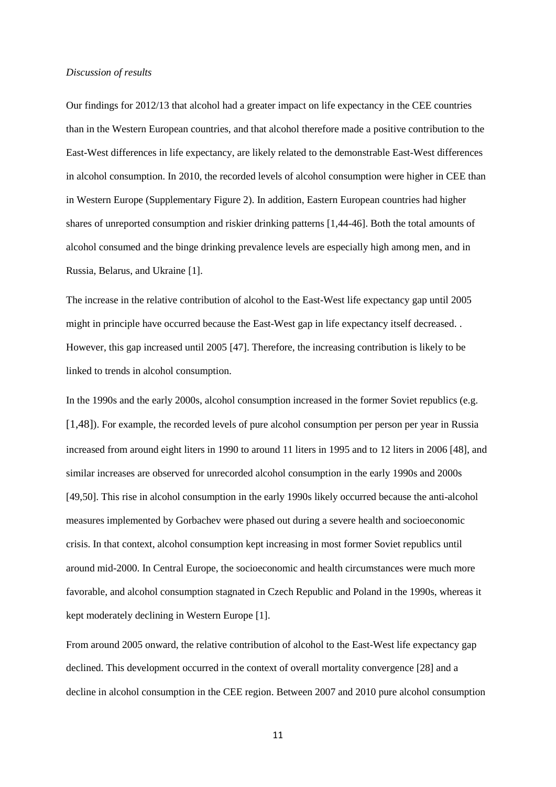### *Discussion of results*

Our findings for 2012/13 that alcohol had a greater impact on life expectancy in the CEE countries than in the Western European countries, and that alcohol therefore made a positive contribution to the East-West differences in life expectancy, are likely related to the demonstrable East-West differences in alcohol consumption. In 2010, the recorded levels of alcohol consumption were higher in CEE than in Western Europe (Supplementary Figure 2). In addition, Eastern European countries had higher shares of unreported consumption and riskier drinking patterns [1,44-46]. Both the total amounts of alcohol consumed and the binge drinking prevalence levels are especially high among men, and in Russia, Belarus, and Ukraine [1].

The increase in the relative contribution of alcohol to the East-West life expectancy gap until 2005 might in principle have occurred because the East-West gap in life expectancy itself decreased. . However, this gap increased until 2005 [47]. Therefore, the increasing contribution is likely to be linked to trends in alcohol consumption.

In the 1990s and the early 2000s, alcohol consumption increased in the former Soviet republics (e.g. [1,48]). For example, the recorded levels of pure alcohol consumption per person per year in Russia increased from around eight liters in 1990 to around 11 liters in 1995 and to 12 liters in 2006 [48], and similar increases are observed for unrecorded alcohol consumption in the early 1990s and 2000s [49,50]. This rise in alcohol consumption in the early 1990s likely occurred because the anti-alcohol measures implemented by Gorbachev were phased out during a severe health and socioeconomic crisis. In that context, alcohol consumption kept increasing in most former Soviet republics until around mid-2000. In Central Europe, the socioeconomic and health circumstances were much more favorable, and alcohol consumption stagnated in Czech Republic and Poland in the 1990s, whereas it kept moderately declining in Western Europe [1].

From around 2005 onward, the relative contribution of alcohol to the East-West life expectancy gap declined. This development occurred in the context of overall mortality convergence [28] and a decline in alcohol consumption in the CEE region. Between 2007 and 2010 pure alcohol consumption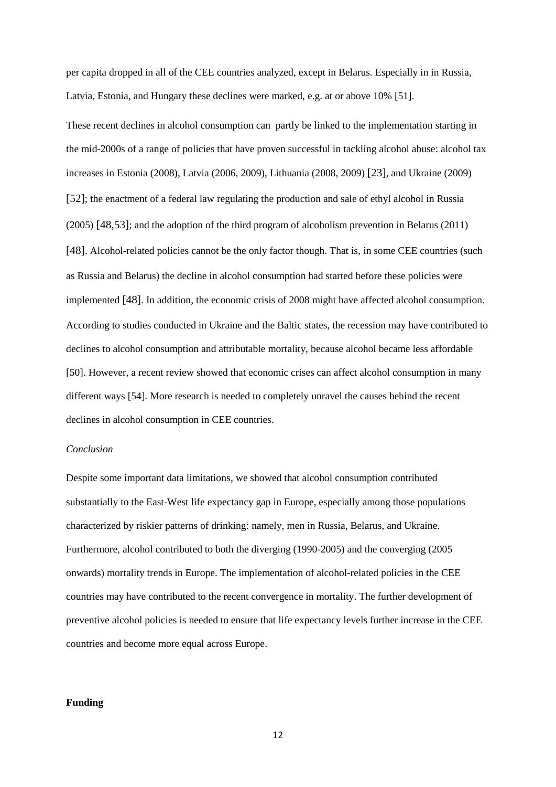per capita dropped in all of the CEE countries analyzed, except in Belarus. Especially in in Russia, Latvia, Estonia, and Hungary these declines were marked, e.g. at or above 10% [51].

These recent declines in alcohol consumption can partly be linked to the implementation starting in the mid-2000s of a range of policies that have proven successful in tackling alcohol abuse: alcohol tax increases in Estonia (2008), Latvia (2006, 2009), Lithuania (2008, 2009) [23], and Ukraine (2009) [52]; the enactment of a federal law regulating the production and sale of ethyl alcohol in Russia (2005) [48,53]; and the adoption of the third program of alcoholism prevention in Belarus (2011) [48]. Alcohol-related policies cannot be the only factor though. That is, in some CEE countries (such as Russia and Belarus) the decline in alcohol consumption had started before these policies were implemented [48]. In addition, the economic crisis of 2008 might have affected alcohol consumption. According to studies conducted in Ukraine and the Baltic states, the recession may have contributed to declines to alcohol consumption and attributable mortality, because alcohol became less affordable [50]. However, a recent review showed that economic crises can affect alcohol consumption in many different ways [54]. More research is needed to completely unravel the causes behind the recent declines in alcohol consumption in CEE countries.

### *Conclusion*

Despite some important data limitations, we showed that alcohol consumption contributed substantially to the East-West life expectancy gap in Europe, especially among those populations characterized by riskier patterns of drinking: namely, men in Russia, Belarus, and Ukraine. Furthermore, alcohol contributed to both the diverging (1990-2005) and the converging (2005 onwards) mortality trends in Europe. The implementation of alcohol-related policies in the CEE countries may have contributed to the recent convergence in mortality. The further development of preventive alcohol policies is needed to ensure that life expectancy levels further increase in the CEE countries and become more equal across Europe.

### **Funding**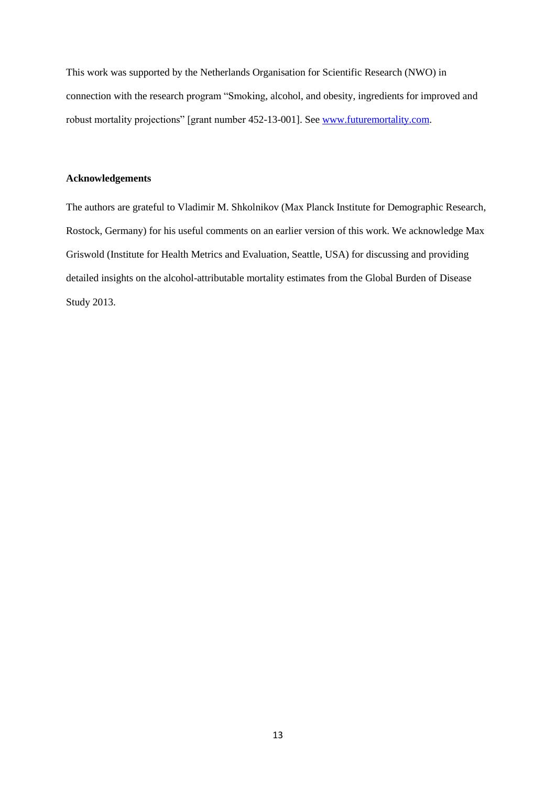This work was supported by the Netherlands Organisation for Scientific Research (NWO) in connection with the research program "Smoking, alcohol, and obesity, ingredients for improved and robust mortality projections" [grant number 452-13-001]. See [www.futuremortality.com.](http://www.futuremortality.com/)

## **Acknowledgements**

The authors are grateful to Vladimir M. Shkolnikov (Max Planck Institute for Demographic Research, Rostock, Germany) for his useful comments on an earlier version of this work. We acknowledge Max Griswold (Institute for Health Metrics and Evaluation, Seattle, USA) for discussing and providing detailed insights on the alcohol-attributable mortality estimates from the Global Burden of Disease Study 2013.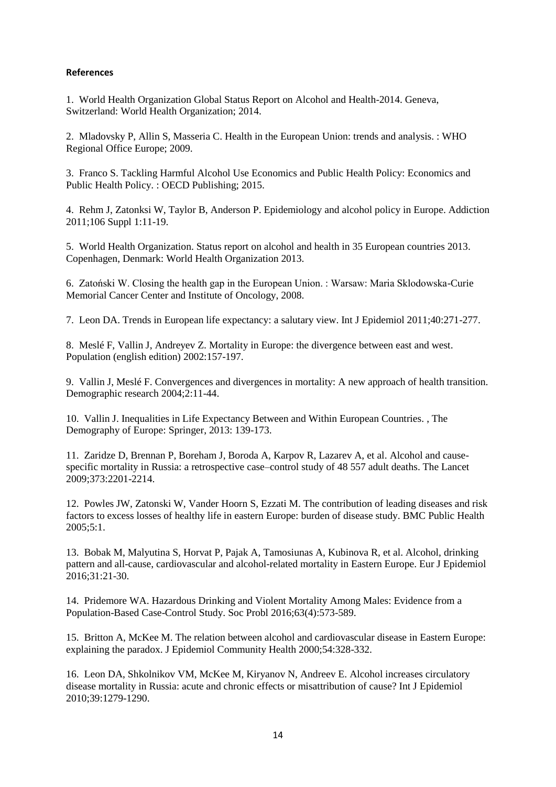# **References**

1. World Health Organization Global Status Report on Alcohol and Health-2014. Geneva, Switzerland: World Health Organization; 2014.

2. Mladovsky P, Allin S, Masseria C. Health in the European Union: trends and analysis. : WHO Regional Office Europe; 2009.

3. Franco S. Tackling Harmful Alcohol Use Economics and Public Health Policy: Economics and Public Health Policy. : OECD Publishing; 2015.

4. Rehm J, Zatonksi W, Taylor B, Anderson P. Epidemiology and alcohol policy in Europe. Addiction 2011;106 Suppl 1:11-19.

5. World Health Organization. Status report on alcohol and health in 35 European countries 2013. Copenhagen, Denmark: World Health Organization 2013.

6. Zatoński W. Closing the health gap in the European Union. : Warsaw: Maria Sklodowska-Curie Memorial Cancer Center and Institute of Oncology, 2008.

7. Leon DA. Trends in European life expectancy: a salutary view. Int J Epidemiol 2011;40:271-277.

8. Meslé F, Vallin J, Andreyev Z. Mortality in Europe: the divergence between east and west. Population (english edition) 2002:157-197.

9. Vallin J, Meslé F. Convergences and divergences in mortality: A new approach of health transition. Demographic research 2004;2:11-44.

10. Vallin J. Inequalities in Life Expectancy Between and Within European Countries. , The Demography of Europe: Springer, 2013: 139-173.

11. Zaridze D, Brennan P, Boreham J, Boroda A, Karpov R, Lazarev A, et al. Alcohol and causespecific mortality in Russia: a retrospective case–control study of 48 557 adult deaths. The Lancet 2009;373:2201-2214.

12. Powles JW, Zatonski W, Vander Hoorn S, Ezzati M. The contribution of leading diseases and risk factors to excess losses of healthy life in eastern Europe: burden of disease study. BMC Public Health 2005;5:1.

13. Bobak M, Malyutina S, Horvat P, Pajak A, Tamosiunas A, Kubinova R, et al. Alcohol, drinking pattern and all-cause, cardiovascular and alcohol-related mortality in Eastern Europe. Eur J Epidemiol 2016;31:21-30.

14. Pridemore WA. Hazardous Drinking and Violent Mortality Among Males: Evidence from a Population-Based Case-Control Study. Soc Probl 2016;63(4):573-589.

15. Britton A, McKee M. The relation between alcohol and cardiovascular disease in Eastern Europe: explaining the paradox. J Epidemiol Community Health 2000;54:328-332.

16. Leon DA, Shkolnikov VM, McKee M, Kiryanov N, Andreev E. Alcohol increases circulatory disease mortality in Russia: acute and chronic effects or misattribution of cause? Int J Epidemiol 2010;39:1279-1290.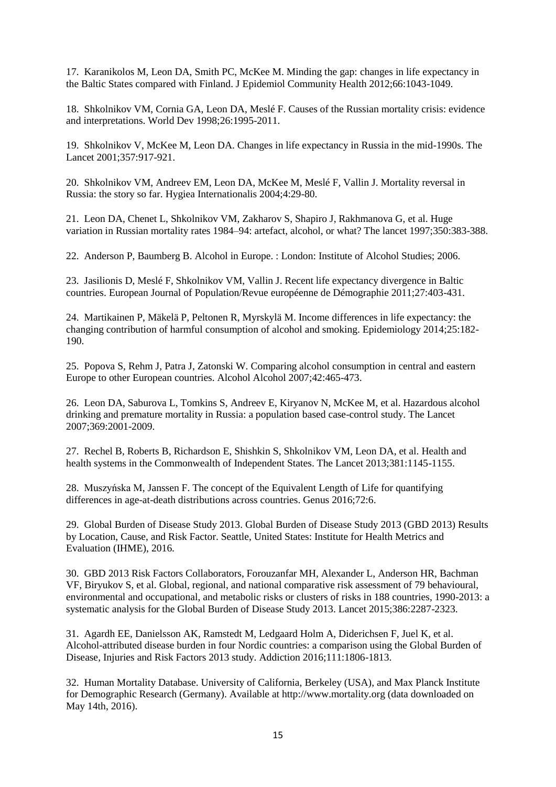17. Karanikolos M, Leon DA, Smith PC, McKee M. Minding the gap: changes in life expectancy in the Baltic States compared with Finland. J Epidemiol Community Health 2012;66:1043-1049.

18. Shkolnikov VM, Cornia GA, Leon DA, Meslé F. Causes of the Russian mortality crisis: evidence and interpretations. World Dev 1998;26:1995-2011.

19. Shkolnikov V, McKee M, Leon DA. Changes in life expectancy in Russia in the mid-1990s. The Lancet 2001;357:917-921.

20. Shkolnikov VM, Andreev EM, Leon DA, McKee M, Meslé F, Vallin J. Mortality reversal in Russia: the story so far. Hygiea Internationalis 2004;4:29-80.

21. Leon DA, Chenet L, Shkolnikov VM, Zakharov S, Shapiro J, Rakhmanova G, et al. Huge variation in Russian mortality rates 1984–94: artefact, alcohol, or what? The lancet 1997;350:383-388.

22. Anderson P, Baumberg B. Alcohol in Europe. : London: Institute of Alcohol Studies; 2006.

23. Jasilionis D, Meslé F, Shkolnikov VM, Vallin J. Recent life expectancy divergence in Baltic countries. European Journal of Population/Revue européenne de Démographie 2011;27:403-431.

24. Martikainen P, Mäkelä P, Peltonen R, Myrskylä M. Income differences in life expectancy: the changing contribution of harmful consumption of alcohol and smoking. Epidemiology 2014;25:182- 190.

25. Popova S, Rehm J, Patra J, Zatonski W. Comparing alcohol consumption in central and eastern Europe to other European countries. Alcohol Alcohol 2007;42:465-473.

26. Leon DA, Saburova L, Tomkins S, Andreev E, Kiryanov N, McKee M, et al. Hazardous alcohol drinking and premature mortality in Russia: a population based case-control study. The Lancet 2007;369:2001-2009.

27. Rechel B, Roberts B, Richardson E, Shishkin S, Shkolnikov VM, Leon DA, et al. Health and health systems in the Commonwealth of Independent States. The Lancet 2013;381:1145-1155.

28. Muszyńska M, Janssen F. The concept of the Equivalent Length of Life for quantifying differences in age-at-death distributions across countries. Genus 2016;72:6.

29. Global Burden of Disease Study 2013. Global Burden of Disease Study 2013 (GBD 2013) Results by Location, Cause, and Risk Factor. Seattle, United States: Institute for Health Metrics and Evaluation (IHME), 2016.

30. GBD 2013 Risk Factors Collaborators, Forouzanfar MH, Alexander L, Anderson HR, Bachman VF, Biryukov S, et al. Global, regional, and national comparative risk assessment of 79 behavioural, environmental and occupational, and metabolic risks or clusters of risks in 188 countries, 1990-2013: a systematic analysis for the Global Burden of Disease Study 2013. Lancet 2015;386:2287-2323.

31. Agardh EE, Danielsson AK, Ramstedt M, Ledgaard Holm A, Diderichsen F, Juel K, et al. Alcohol-attributed disease burden in four Nordic countries: a comparison using the Global Burden of Disease, Injuries and Risk Factors 2013 study. Addiction 2016;111:1806-1813.

32. Human Mortality Database. University of California, Berkeley (USA), and Max Planck Institute for Demographic Research (Germany). Available at http://www.mortality.org (data downloaded on May 14th, 2016).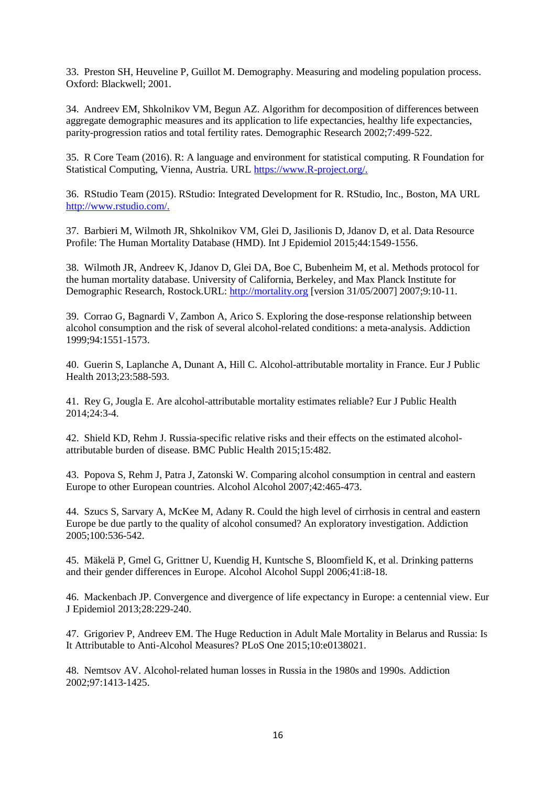33. Preston SH, Heuveline P, Guillot M. Demography. Measuring and modeling population process. Oxford: Blackwell; 2001.

34. Andreev EM, Shkolnikov VM, Begun AZ. Algorithm for decomposition of differences between aggregate demographic measures and its application to life expectancies, healthy life expectancies, parity-progression ratios and total fertility rates. Demographic Research 2002;7:499-522.

35. R Core Team (2016). R: A language and environment for statistical computing. R Foundation for Statistical Computing, Vienna, Austria. URL [https://www.R-project.org/.](https://www.r-project.org/)

36. RStudio Team (2015). RStudio: Integrated Development for R. RStudio, Inc., Boston, MA URL [http://www.rstudio.com/.](http://www.rstudio.com/)

37. Barbieri M, Wilmoth JR, Shkolnikov VM, Glei D, Jasilionis D, Jdanov D, et al. Data Resource Profile: The Human Mortality Database (HMD). Int J Epidemiol 2015;44:1549-1556.

38. Wilmoth JR, Andreev K, Jdanov D, Glei DA, Boe C, Bubenheim M, et al. Methods protocol for the human mortality database. University of California, Berkeley, and Max Planck Institute for Demographic Research, Rostock.URL: [http://mortality.org](http://mortality.org/) [version 31/05/2007] 2007;9:10-11.

39. Corrao G, Bagnardi V, Zambon A, Arico S. Exploring the dose-response relationship between alcohol consumption and the risk of several alcohol-related conditions: a meta-analysis. Addiction 1999;94:1551-1573.

40. Guerin S, Laplanche A, Dunant A, Hill C. Alcohol-attributable mortality in France. Eur J Public Health 2013;23:588-593.

41. Rey G, Jougla E. Are alcohol-attributable mortality estimates reliable? Eur J Public Health 2014;24:3-4.

42. Shield KD, Rehm J. Russia-specific relative risks and their effects on the estimated alcoholattributable burden of disease. BMC Public Health 2015;15:482.

43. Popova S, Rehm J, Patra J, Zatonski W. Comparing alcohol consumption in central and eastern Europe to other European countries. Alcohol Alcohol 2007;42:465-473.

44. Szucs S, Sarvary A, McKee M, Adany R. Could the high level of cirrhosis in central and eastern Europe be due partly to the quality of alcohol consumed? An exploratory investigation. Addiction 2005;100:536-542.

45. Mäkelä P, Gmel G, Grittner U, Kuendig H, Kuntsche S, Bloomfield K, et al. Drinking patterns and their gender differences in Europe. Alcohol Alcohol Suppl 2006;41:i8-18.

46. Mackenbach JP. Convergence and divergence of life expectancy in Europe: a centennial view. Eur J Epidemiol 2013;28:229-240.

47. Grigoriev P, Andreev EM. The Huge Reduction in Adult Male Mortality in Belarus and Russia: Is It Attributable to Anti-Alcohol Measures? PLoS One 2015;10:e0138021.

48. Nemtsov AV. Alcohol‐related human losses in Russia in the 1980s and 1990s. Addiction 2002;97:1413-1425.